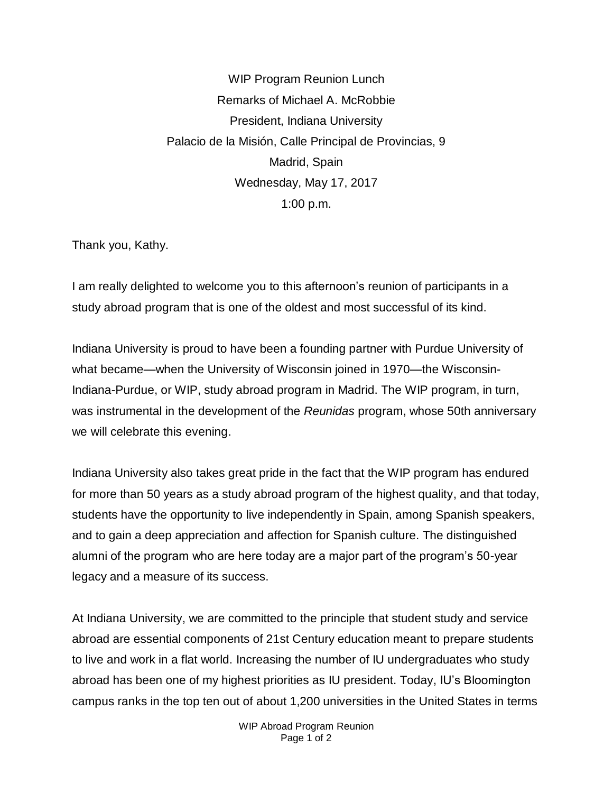WIP Program Reunion Lunch Remarks of Michael A. McRobbie President, Indiana University Palacio de la Misión, Calle Principal de Provincias, 9 Madrid, Spain Wednesday, May 17, 2017 1:00 p.m.

Thank you, Kathy.

I am really delighted to welcome you to this afternoon's reunion of participants in a study abroad program that is one of the oldest and most successful of its kind.

Indiana University is proud to have been a founding partner with Purdue University of what became—when the University of Wisconsin joined in 1970—the Wisconsin-Indiana-Purdue, or WIP, study abroad program in Madrid. The WIP program, in turn, was instrumental in the development of the *Reunidas* program, whose 50th anniversary we will celebrate this evening.

Indiana University also takes great pride in the fact that the WIP program has endured for more than 50 years as a study abroad program of the highest quality, and that today, students have the opportunity to live independently in Spain, among Spanish speakers, and to gain a deep appreciation and affection for Spanish culture. The distinguished alumni of the program who are here today are a major part of the program's 50-year legacy and a measure of its success.

At Indiana University, we are committed to the principle that student study and service abroad are essential components of 21st Century education meant to prepare students to live and work in a flat world. Increasing the number of IU undergraduates who study abroad has been one of my highest priorities as IU president. Today, IU's Bloomington campus ranks in the top ten out of about 1,200 universities in the United States in terms

> WIP Abroad Program Reunion Page 1 of 2